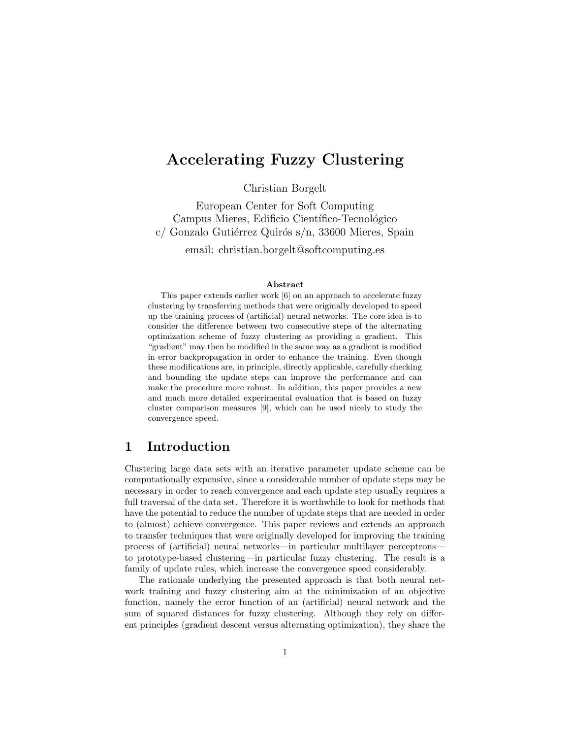# Accelerating Fuzzy Clustering

Christian Borgelt

European Center for Soft Computing Campus Mieres, Edificio Científico-Tecnológico  $c/$  Gonzalo Gutiérrez Quirós s/n, 33600 Mieres, Spain

email: christian.borgelt@softcomputing.es

#### Abstract

This paper extends earlier work [6] on an approach to accelerate fuzzy clustering by transferring methods that were originally developed to speed up the training process of (artificial) neural networks. The core idea is to consider the difference between two consecutive steps of the alternating optimization scheme of fuzzy clustering as providing a gradient. This "gradient" may then be modified in the same way as a gradient is modified in error backpropagation in order to enhance the training. Even though these modifications are, in principle, directly applicable, carefully checking and bounding the update steps can improve the performance and can make the procedure more robust. In addition, this paper provides a new and much more detailed experimental evaluation that is based on fuzzy cluster comparison measures [9], which can be used nicely to study the convergence speed.

### 1 Introduction

Clustering large data sets with an iterative parameter update scheme can be computationally expensive, since a considerable number of update steps may be necessary in order to reach convergence and each update step usually requires a full traversal of the data set. Therefore it is worthwhile to look for methods that have the potential to reduce the number of update steps that are needed in order to (almost) achieve convergence. This paper reviews and extends an approach to transfer techniques that were originally developed for improving the training process of (artificial) neural networks—in particular multilayer perceptrons to prototype-based clustering—in particular fuzzy clustering. The result is a family of update rules, which increase the convergence speed considerably.

The rationale underlying the presented approach is that both neural network training and fuzzy clustering aim at the minimization of an objective function, namely the error function of an (artificial) neural network and the sum of squared distances for fuzzy clustering. Although they rely on different principles (gradient descent versus alternating optimization), they share the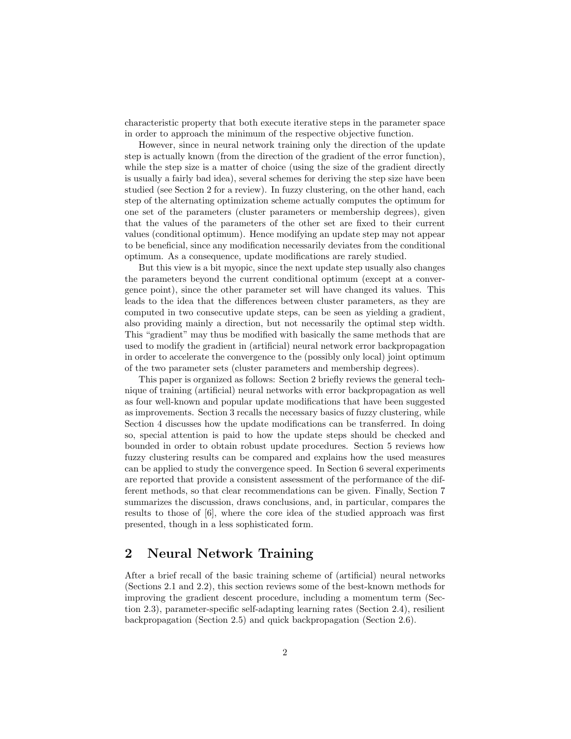characteristic property that both execute iterative steps in the parameter space in order to approach the minimum of the respective objective function.

However, since in neural network training only the direction of the update step is actually known (from the direction of the gradient of the error function), while the step size is a matter of choice (using the size of the gradient directly is usually a fairly bad idea), several schemes for deriving the step size have been studied (see Section 2 for a review). In fuzzy clustering, on the other hand, each step of the alternating optimization scheme actually computes the optimum for one set of the parameters (cluster parameters or membership degrees), given that the values of the parameters of the other set are fixed to their current values (conditional optimum). Hence modifying an update step may not appear to be beneficial, since any modification necessarily deviates from the conditional optimum. As a consequence, update modifications are rarely studied.

But this view is a bit myopic, since the next update step usually also changes the parameters beyond the current conditional optimum (except at a convergence point), since the other parameter set will have changed its values. This leads to the idea that the differences between cluster parameters, as they are computed in two consecutive update steps, can be seen as yielding a gradient, also providing mainly a direction, but not necessarily the optimal step width. This "gradient" may thus be modified with basically the same methods that are used to modify the gradient in (artificial) neural network error backpropagation in order to accelerate the convergence to the (possibly only local) joint optimum of the two parameter sets (cluster parameters and membership degrees).

This paper is organized as follows: Section 2 briefly reviews the general technique of training (artificial) neural networks with error backpropagation as well as four well-known and popular update modifications that have been suggested as improvements. Section 3 recalls the necessary basics of fuzzy clustering, while Section 4 discusses how the update modifications can be transferred. In doing so, special attention is paid to how the update steps should be checked and bounded in order to obtain robust update procedures. Section 5 reviews how fuzzy clustering results can be compared and explains how the used measures can be applied to study the convergence speed. In Section 6 several experiments are reported that provide a consistent assessment of the performance of the different methods, so that clear recommendations can be given. Finally, Section 7 summarizes the discussion, draws conclusions, and, in particular, compares the results to those of [6], where the core idea of the studied approach was first presented, though in a less sophisticated form.

## 2 Neural Network Training

After a brief recall of the basic training scheme of (artificial) neural networks (Sections 2.1 and 2.2), this section reviews some of the best-known methods for improving the gradient descent procedure, including a momentum term (Section 2.3), parameter-specific self-adapting learning rates (Section 2.4), resilient backpropagation (Section 2.5) and quick backpropagation (Section 2.6).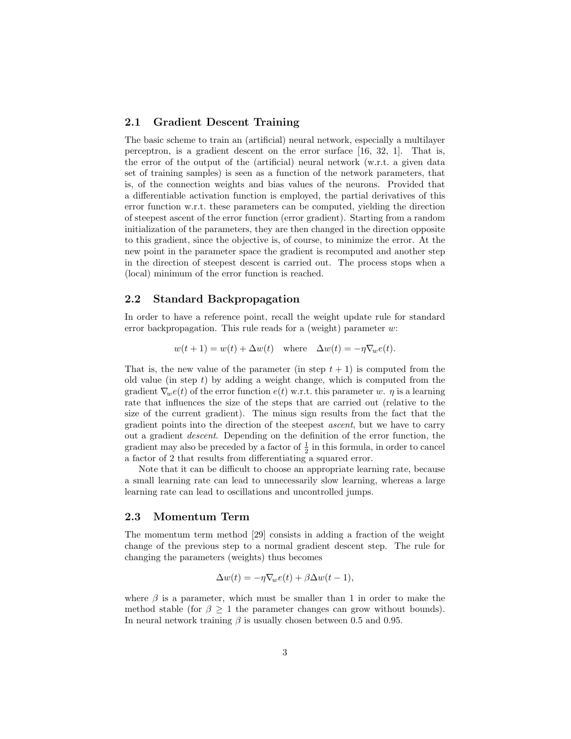#### 2.1 Gradient Descent Training

The basic scheme to train an (artificial) neural network, especially a multilayer perceptron, is a gradient descent on the error surface [16, 32, 1]. That is, the error of the output of the (artificial) neural network (w.r.t. a given data set of training samples) is seen as a function of the network parameters, that is, of the connection weights and bias values of the neurons. Provided that a differentiable activation function is employed, the partial derivatives of this error function w.r.t. these parameters can be computed, yielding the direction of steepest ascent of the error function (error gradient). Starting from a random initialization of the parameters, they are then changed in the direction opposite to this gradient, since the objective is, of course, to minimize the error. At the new point in the parameter space the gradient is recomputed and another step in the direction of steepest descent is carried out. The process stops when a (local) minimum of the error function is reached.

#### 2.2 Standard Backpropagation

In order to have a reference point, recall the weight update rule for standard error backpropagation. This rule reads for a (weight) parameter  $w$ :

$$
w(t+1) = w(t) + \Delta w(t) \quad \text{where} \quad \Delta w(t) = -\eta \nabla_w e(t).
$$

That is, the new value of the parameter (in step  $t + 1$ ) is computed from the old value (in step  $t$ ) by adding a weight change, which is computed from the gradient  $\nabla_w e(t)$  of the error function  $e(t)$  w.r.t. this parameter w.  $\eta$  is a learning rate that influences the size of the steps that are carried out (relative to the size of the current gradient). The minus sign results from the fact that the gradient points into the direction of the steepest ascent, but we have to carry out a gradient descent. Depending on the definition of the error function, the gradient may also be preceded by a factor of  $\frac{1}{2}$  in this formula, in order to cancel a factor of 2 that results from differentiating a squared error.

Note that it can be difficult to choose an appropriate learning rate, because a small learning rate can lead to unnecessarily slow learning, whereas a large learning rate can lead to oscillations and uncontrolled jumps.

#### 2.3 Momentum Term

The momentum term method [29] consists in adding a fraction of the weight change of the previous step to a normal gradient descent step. The rule for changing the parameters (weights) thus becomes

$$
\Delta w(t) = -\eta \nabla_w e(t) + \beta \Delta w(t - 1),
$$

where  $\beta$  is a parameter, which must be smaller than 1 in order to make the method stable (for  $\beta \geq 1$  the parameter changes can grow without bounds). In neural network training  $\beta$  is usually chosen between 0.5 and 0.95.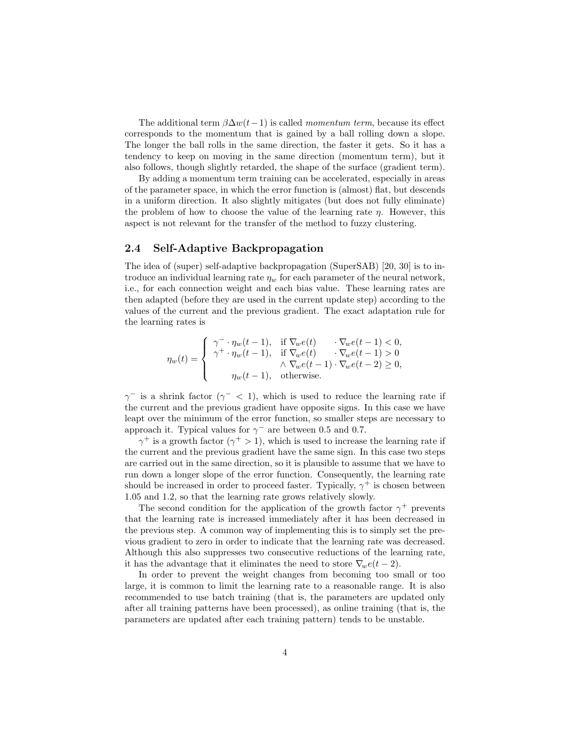The additional term  $\beta \Delta w(t-1)$  is called momentum term, because its effect corresponds to the momentum that is gained by a ball rolling down a slope. The longer the ball rolls in the same direction, the faster it gets. So it has a tendency to keep on moving in the same direction (momentum term), but it also follows, though slightly retarded, the shape of the surface (gradient term).

By adding a momentum term training can be accelerated, especially in areas of the parameter space, in which the error function is (almost) flat, but descends in a uniform direction. It also slightly mitigates (but does not fully eliminate) the problem of how to choose the value of the learning rate  $\eta$ . However, this aspect is not relevant for the transfer of the method to fuzzy clustering.

#### 2.4 Self-Adaptive Backpropagation

The idea of (super) self-adaptive backpropagation (SuperSAB) [20, 30] is to introduce an individual learning rate  $\eta_w$  for each parameter of the neural network, i.e., for each connection weight and each bias value. These learning rates are then adapted (before they are used in the current update step) according to the values of the current and the previous gradient. The exact adaptation rule for the learning rates is

$$
\eta_w(t) = \begin{cases}\n\gamma^- \cdot \eta_w(t-1), & \text{if } \nabla_w e(t) \quad \cdot \nabla_w e(t-1) < 0, \\
\gamma^+ \cdot \eta_w(t-1), & \text{if } \nabla_w e(t) \quad \cdot \nabla_w e(t-1) > 0 \\
\wedge \nabla_w e(t-1) \cdot \nabla_w e(t-2) > 0, \\
\eta_w(t-1), & \text{otherwise.}\n\end{cases}
$$

 $\gamma$ <sup>-</sup> is a shrink factor ( $\gamma$ <sup>-</sup> < 1), which is used to reduce the learning rate if the current and the previous gradient have opposite signs. In this case we have leapt over the minimum of the error function, so smaller steps are necessary to approach it. Typical values for  $\gamma^-$  are between 0.5 and 0.7.

 $\gamma^+$  is a growth factor  $(\gamma^+ > 1)$ , which is used to increase the learning rate if the current and the previous gradient have the same sign. In this case two steps are carried out in the same direction, so it is plausible to assume that we have to run down a longer slope of the error function. Consequently, the learning rate should be increased in order to proceed faster. Typically,  $\gamma^+$  is chosen between 1.05 and 1.2, so that the learning rate grows relatively slowly.

The second condition for the application of the growth factor  $\gamma^+$  prevents that the learning rate is increased immediately after it has been decreased in the previous step. A common way of implementing this is to simply set the previous gradient to zero in order to indicate that the learning rate was decreased. Although this also suppresses two consecutive reductions of the learning rate, it has the advantage that it eliminates the need to store  $\nabla_w e(t-2)$ .

In order to prevent the weight changes from becoming too small or too large, it is common to limit the learning rate to a reasonable range. It is also recommended to use batch training (that is, the parameters are updated only after all training patterns have been processed), as online training (that is, the parameters are updated after each training pattern) tends to be unstable.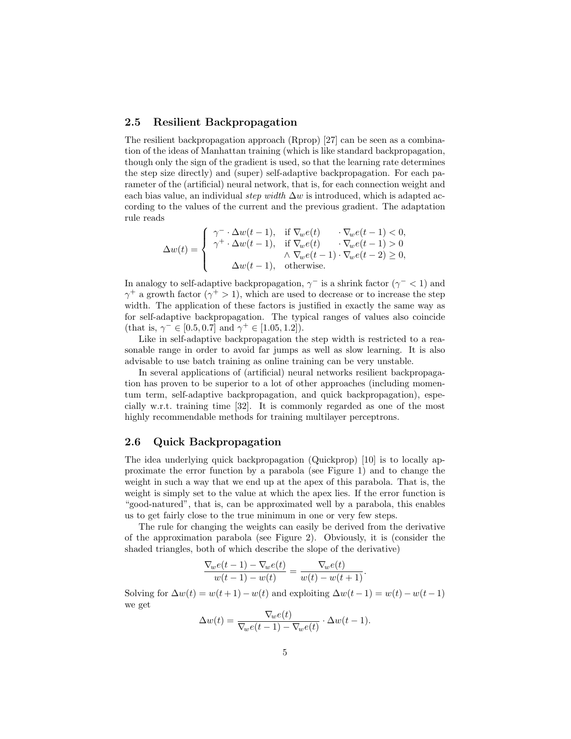#### 2.5 Resilient Backpropagation

The resilient backpropagation approach (Rprop) [27] can be seen as a combination of the ideas of Manhattan training (which is like standard backpropagation, though only the sign of the gradient is used, so that the learning rate determines the step size directly) and (super) self-adaptive backpropagation. For each parameter of the (artificial) neural network, that is, for each connection weight and each bias value, an individual step width  $\Delta w$  is introduced, which is adapted according to the values of the current and the previous gradient. The adaptation rule reads

$$
\Delta w(t) = \begin{cases}\n\gamma^- \cdot \Delta w(t-1), & \text{if } \nabla_w e(t) & \cdot \nabla_w e(t-1) < 0, \\
\gamma^+ \cdot \Delta w(t-1), & \text{if } \nabla_w e(t) & \cdot \nabla_w e(t-1) > 0 \\
\wedge \nabla_w e(t-1) \cdot \nabla_w e(t-2) > 0, \\
\Delta w(t-1), & \text{otherwise.}\n\end{cases}
$$

In analogy to self-adaptive backpropagation,  $\gamma^-$  is a shrink factor  $(\gamma^- < 1)$  and  $\gamma^+$  a growth factor  $(\gamma^+ > 1)$ , which are used to decrease or to increase the step width. The application of these factors is justified in exactly the same way as for self-adaptive backpropagation. The typical ranges of values also coincide (that is,  $\gamma^- \in [0.5, 0.7]$  and  $\gamma^+ \in [1.05, 1.2]$ ).

Like in self-adaptive backpropagation the step width is restricted to a reasonable range in order to avoid far jumps as well as slow learning. It is also advisable to use batch training as online training can be very unstable.

In several applications of (artificial) neural networks resilient backpropagation has proven to be superior to a lot of other approaches (including momentum term, self-adaptive backpropagation, and quick backpropagation), especially w.r.t. training time [32]. It is commonly regarded as one of the most highly recommendable methods for training multilayer perceptrons.

### 2.6 Quick Backpropagation

The idea underlying quick backpropagation (Quickprop) [10] is to locally approximate the error function by a parabola (see Figure 1) and to change the weight in such a way that we end up at the apex of this parabola. That is, the weight is simply set to the value at which the apex lies. If the error function is "good-natured", that is, can be approximated well by a parabola, this enables us to get fairly close to the true minimum in one or very few steps.

The rule for changing the weights can easily be derived from the derivative of the approximation parabola (see Figure 2). Obviously, it is (consider the shaded triangles, both of which describe the slope of the derivative)

$$
\frac{\nabla_w e(t-1) - \nabla_w e(t)}{w(t-1) - w(t)} = \frac{\nabla_w e(t)}{w(t) - w(t+1)}.
$$

Solving for  $\Delta w(t) = w(t+1) - w(t)$  and exploiting  $\Delta w(t-1) = w(t) - w(t-1)$ we get

$$
\Delta w(t) = \frac{\nabla_w e(t)}{\nabla_w e(t-1) - \nabla_w e(t)} \cdot \Delta w(t-1).
$$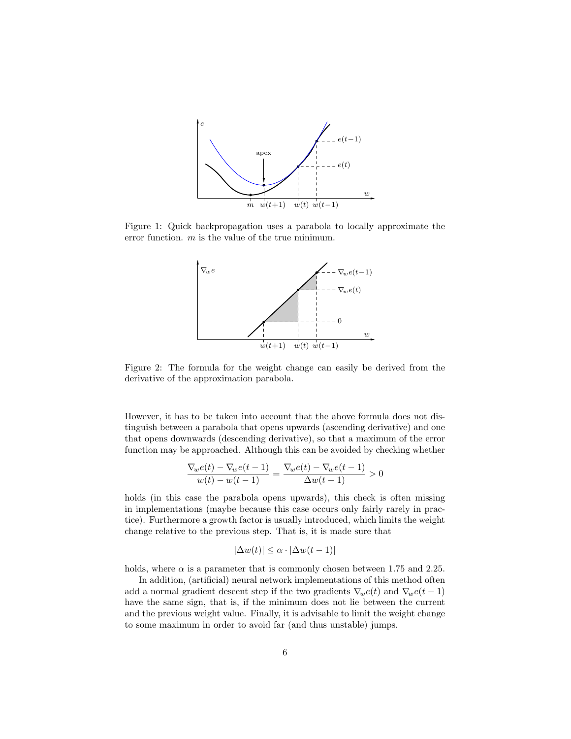

Figure 1: Quick backpropagation uses a parabola to locally approximate the error function. m is the value of the true minimum.



Figure 2: The formula for the weight change can easily be derived from the derivative of the approximation parabola.

However, it has to be taken into account that the above formula does not distinguish between a parabola that opens upwards (ascending derivative) and one that opens downwards (descending derivative), so that a maximum of the error function may be approached. Although this can be avoided by checking whether

$$
\frac{\nabla_w e(t) - \nabla_w e(t-1)}{w(t) - w(t-1)} = \frac{\nabla_w e(t) - \nabla_w e(t-1)}{\Delta w(t-1)} > 0
$$

holds (in this case the parabola opens upwards), this check is often missing in implementations (maybe because this case occurs only fairly rarely in practice). Furthermore a growth factor is usually introduced, which limits the weight change relative to the previous step. That is, it is made sure that

$$
|\Delta w(t)| \le \alpha \cdot |\Delta w(t-1)|
$$

holds, where  $\alpha$  is a parameter that is commonly chosen between 1.75 and 2.25.

In addition, (artificial) neural network implementations of this method often add a normal gradient descent step if the two gradients  $\nabla_w e(t)$  and  $\nabla_w e(t-1)$ have the same sign, that is, if the minimum does not lie between the current and the previous weight value. Finally, it is advisable to limit the weight change to some maximum in order to avoid far (and thus unstable) jumps.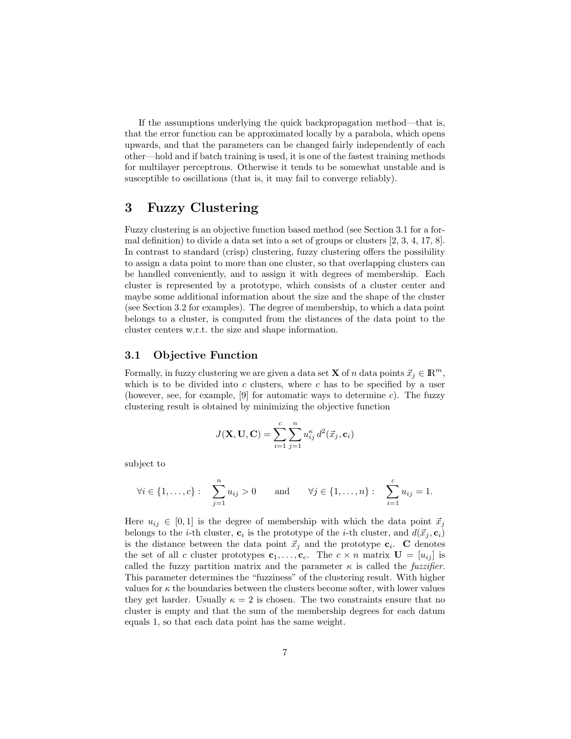If the assumptions underlying the quick backpropagation method—that is, that the error function can be approximated locally by a parabola, which opens upwards, and that the parameters can be changed fairly independently of each other—hold and if batch training is used, it is one of the fastest training methods for multilayer perceptrons. Otherwise it tends to be somewhat unstable and is susceptible to oscillations (that is, it may fail to converge reliably).

### 3 Fuzzy Clustering

Fuzzy clustering is an objective function based method (see Section 3.1 for a formal definition) to divide a data set into a set of groups or clusters [2, 3, 4, 17, 8]. In contrast to standard (crisp) clustering, fuzzy clustering offers the possibility to assign a data point to more than one cluster, so that overlapping clusters can be handled conveniently, and to assign it with degrees of membership. Each cluster is represented by a prototype, which consists of a cluster center and maybe some additional information about the size and the shape of the cluster (see Section 3.2 for examples). The degree of membership, to which a data point belongs to a cluster, is computed from the distances of the data point to the cluster centers w.r.t. the size and shape information.

#### 3.1 Objective Function

Formally, in fuzzy clustering we are given a data set **X** of n data points  $\vec{x}_j \in \mathbb{R}^m$ , which is to be divided into  $c$  clusters, where  $c$  has to be specified by a user (however, see, for example,  $[9]$  for automatic ways to determine c). The fuzzy clustering result is obtained by minimizing the objective function

$$
J(\mathbf{X}, \mathbf{U}, \mathbf{C}) = \sum_{i=1}^{c} \sum_{j=1}^{n} u_{ij}^{\kappa} d^2(\vec{x}_j, \mathbf{c}_i)
$$

subject to

$$
\forall i \in \{1, ..., c\} : \sum_{j=1}^{n} u_{ij} > 0
$$
 and  $\forall j \in \{1, ..., n\} : \sum_{i=1}^{c} u_{ij} = 1.$ 

Here  $u_{ij} \in [0,1]$  is the degree of membership with which the data point  $\vec{x}_j$ belongs to the *i*-th cluster,  $\mathbf{c}_i$  is the prototype of the *i*-th cluster, and  $d(\vec{x}_j, \mathbf{c}_i)$ is the distance between the data point  $\vec{x}_j$  and the prototype  $c_i$ . C denotes the set of all c cluster prototypes  $c_1, \ldots, c_c$ . The  $c \times n$  matrix  $U = [u_{ij}]$  is called the fuzzy partition matrix and the parameter  $\kappa$  is called the *fuzzifier*. This parameter determines the "fuzziness" of the clustering result. With higher values for  $\kappa$  the boundaries between the clusters become softer, with lower values they get harder. Usually  $\kappa = 2$  is chosen. The two constraints ensure that no cluster is empty and that the sum of the membership degrees for each datum equals 1, so that each data point has the same weight.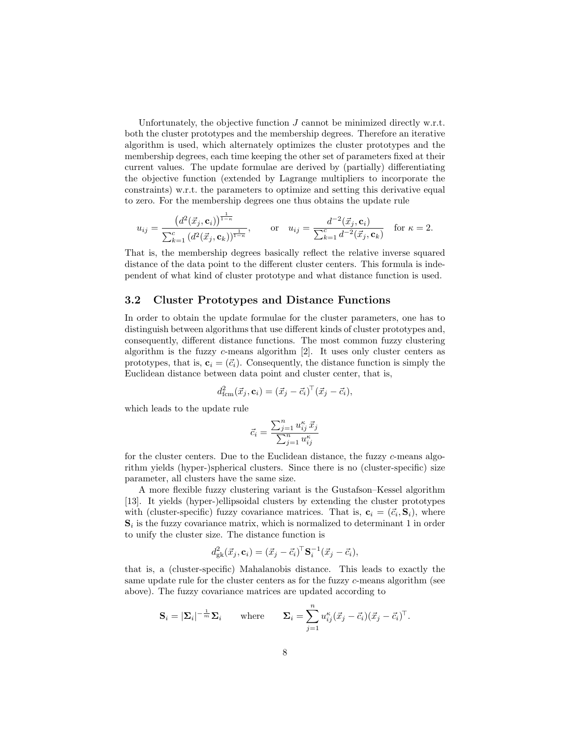Unfortunately, the objective function  $J$  cannot be minimized directly w.r.t. both the cluster prototypes and the membership degrees. Therefore an iterative algorithm is used, which alternately optimizes the cluster prototypes and the membership degrees, each time keeping the other set of parameters fixed at their current values. The update formulae are derived by (partially) differentiating the objective function (extended by Lagrange multipliers to incorporate the constraints) w.r.t. the parameters to optimize and setting this derivative equal to zero. For the membership degrees one thus obtains the update rule

$$
u_{ij} = \frac{\left(d^2(\vec{x}_j, \mathbf{c}_i)\right)^{\frac{1}{1-\kappa}}}{\sum_{k=1}^c \left(d^2(\vec{x}_j, \mathbf{c}_k)\right)^{\frac{1}{1-\kappa}}}, \quad \text{or} \quad u_{ij} = \frac{d^{-2}(\vec{x}_j, \mathbf{c}_i)}{\sum_{k=1}^c d^{-2}(\vec{x}_j, \mathbf{c}_k)} \quad \text{for } \kappa = 2.
$$

That is, the membership degrees basically reflect the relative inverse squared distance of the data point to the different cluster centers. This formula is independent of what kind of cluster prototype and what distance function is used.

#### 3.2 Cluster Prototypes and Distance Functions

In order to obtain the update formulae for the cluster parameters, one has to distinguish between algorithms that use different kinds of cluster prototypes and, consequently, different distance functions. The most common fuzzy clustering algorithm is the fuzzy c-means algorithm  $|2|$ . It uses only cluster centers as prototypes, that is,  $\mathbf{c}_i = (\vec{c}_i)$ . Consequently, the distance function is simply the Euclidean distance between data point and cluster center, that is,

$$
d_{\text{fcm}}^2(\vec{x}_j, \mathbf{c}_i) = (\vec{x}_j - \vec{c}_i)^\top (\vec{x}_j - \vec{c}_i),
$$

which leads to the update rule

$$
\vec{c}_i = \frac{\sum_{j=1}^n u_{ij}^{\kappa} \, \vec{x}_j}{\sum_{j=1}^n u_{ij}^{\kappa}}
$$

for the cluster centers. Due to the Euclidean distance, the fuzzy c-means algorithm yields (hyper-)spherical clusters. Since there is no (cluster-specific) size parameter, all clusters have the same size.

A more flexible fuzzy clustering variant is the Gustafson–Kessel algorithm [13]. It yields (hyper-)ellipsoidal clusters by extending the cluster prototypes with (cluster-specific) fuzzy covariance matrices. That is,  $\mathbf{c}_i = (\vec{c}_i, \mathbf{S}_i)$ , where  $\mathbf{S}_i$  is the fuzzy covariance matrix, which is normalized to determinant 1 in order to unify the cluster size. The distance function is

$$
d_{\mathrm{g}k}^2(\vec{x}_j, \mathbf{c}_i) = (\vec{x}_j - \vec{c}_i)^{\top} \mathbf{S}_i^{-1} (\vec{x}_j - \vec{c}_i),
$$

that is, a (cluster-specific) Mahalanobis distance. This leads to exactly the same update rule for the cluster centers as for the fuzzy c-means algorithm (see above). The fuzzy covariance matrices are updated according to

$$
\mathbf{S}_i = |\mathbf{\Sigma}_i|^{-\frac{1}{m}} \mathbf{\Sigma}_i \quad \text{where} \quad \mathbf{\Sigma}_i = \sum_{j=1}^n u_{ij}^{\kappa} (\vec{x}_j - \vec{c}_i) (\vec{x}_j - \vec{c}_i)^{\mathsf{T}}.
$$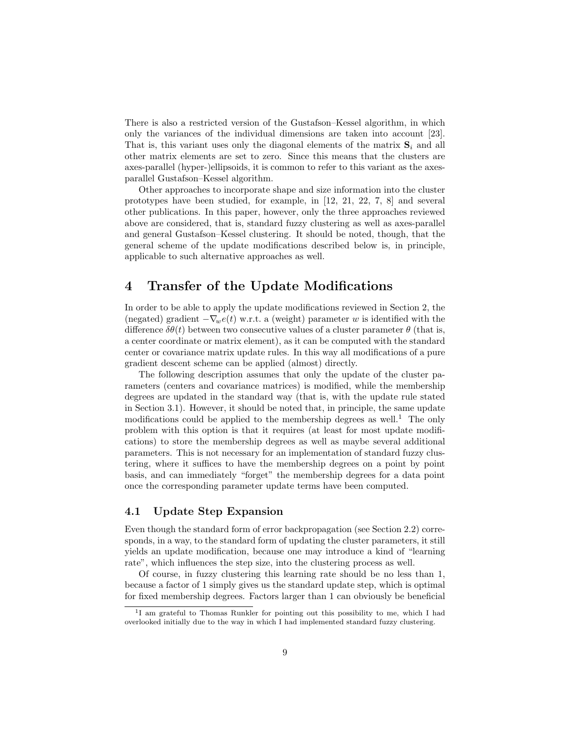There is also a restricted version of the Gustafson–Kessel algorithm, in which only the variances of the individual dimensions are taken into account [23]. That is, this variant uses only the diagonal elements of the matrix  $S_i$  and all other matrix elements are set to zero. Since this means that the clusters are axes-parallel (hyper-)ellipsoids, it is common to refer to this variant as the axesparallel Gustafson–Kessel algorithm.

Other approaches to incorporate shape and size information into the cluster prototypes have been studied, for example, in [12, 21, 22, 7, 8] and several other publications. In this paper, however, only the three approaches reviewed above are considered, that is, standard fuzzy clustering as well as axes-parallel and general Gustafson–Kessel clustering. It should be noted, though, that the general scheme of the update modifications described below is, in principle, applicable to such alternative approaches as well.

### 4 Transfer of the Update Modifications

In order to be able to apply the update modifications reviewed in Section 2, the (negated) gradient  $-\nabla_w e(t)$  w.r.t. a (weight) parameter w is identified with the difference  $\delta\theta(t)$  between two consecutive values of a cluster parameter  $\theta$  (that is, a center coordinate or matrix element), as it can be computed with the standard center or covariance matrix update rules. In this way all modifications of a pure gradient descent scheme can be applied (almost) directly.

The following description assumes that only the update of the cluster parameters (centers and covariance matrices) is modified, while the membership degrees are updated in the standard way (that is, with the update rule stated in Section 3.1). However, it should be noted that, in principle, the same update modifications could be applied to the membership degrees as well.<sup>1</sup> The only problem with this option is that it requires (at least for most update modifications) to store the membership degrees as well as maybe several additional parameters. This is not necessary for an implementation of standard fuzzy clustering, where it suffices to have the membership degrees on a point by point basis, and can immediately "forget" the membership degrees for a data point once the corresponding parameter update terms have been computed.

### 4.1 Update Step Expansion

Even though the standard form of error backpropagation (see Section 2.2) corresponds, in a way, to the standard form of updating the cluster parameters, it still yields an update modification, because one may introduce a kind of "learning rate", which influences the step size, into the clustering process as well.

Of course, in fuzzy clustering this learning rate should be no less than 1, because a factor of 1 simply gives us the standard update step, which is optimal for fixed membership degrees. Factors larger than 1 can obviously be beneficial

<sup>&</sup>lt;sup>1</sup>I am grateful to Thomas Runkler for pointing out this possibility to me, which I had overlooked initially due to the way in which I had implemented standard fuzzy clustering.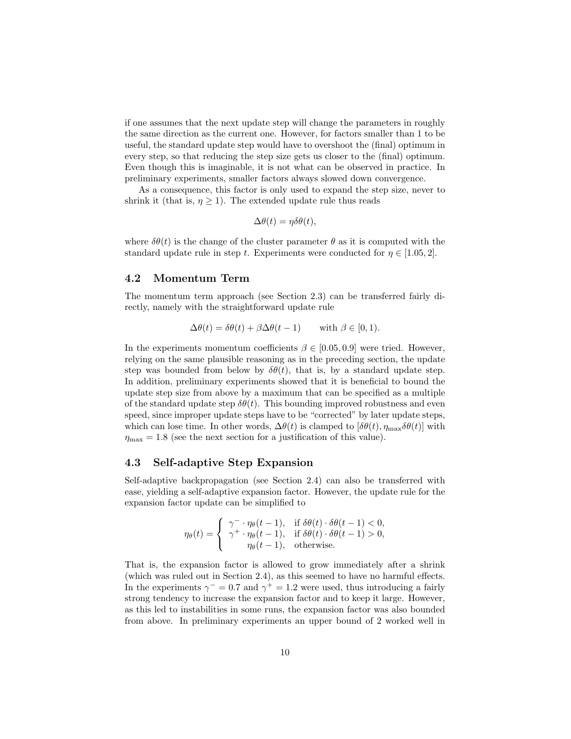if one assumes that the next update step will change the parameters in roughly the same direction as the current one. However, for factors smaller than 1 to be useful, the standard update step would have to overshoot the (final) optimum in every step, so that reducing the step size gets us closer to the (final) optimum. Even though this is imaginable, it is not what can be observed in practice. In preliminary experiments, smaller factors always slowed down convergence.

As a consequence, this factor is only used to expand the step size, never to shrink it (that is,  $\eta \geq 1$ ). The extended update rule thus reads

$$
\Delta\theta(t) = \eta \delta\theta(t),
$$

where  $\delta\theta(t)$  is the change of the cluster parameter  $\theta$  as it is computed with the standard update rule in step t. Experiments were conducted for  $\eta \in [1.05, 2]$ .

#### 4.2 Momentum Term

The momentum term approach (see Section 2.3) can be transferred fairly directly, namely with the straightforward update rule

$$
\Delta\theta(t) = \delta\theta(t) + \beta\Delta\theta(t-1) \quad \text{with } \beta \in [0,1).
$$

In the experiments momentum coefficients  $\beta \in [0.05, 0.9]$  were tried. However, relying on the same plausible reasoning as in the preceding section, the update step was bounded from below by  $\delta\theta(t)$ , that is, by a standard update step. In addition, preliminary experiments showed that it is beneficial to bound the update step size from above by a maximum that can be specified as a multiple of the standard update step  $\delta\theta(t)$ . This bounding improved robustness and even speed, since improper update steps have to be "corrected" by later update steps, which can lose time. In other words,  $\Delta\theta(t)$  is clamped to  $[\delta\theta(t), \eta_{\text{max}}\delta\theta(t)]$  with  $\eta_{\text{max}} = 1.8$  (see the next section for a justification of this value).

#### 4.3 Self-adaptive Step Expansion

Self-adaptive backpropagation (see Section 2.4) can also be transferred with ease, yielding a self-adaptive expansion factor. However, the update rule for the expansion factor update can be simplified to

$$
\eta_{\theta}(t) = \begin{cases} \gamma^{-} \cdot \eta_{\theta}(t-1), & \text{if } \delta\theta(t) \cdot \delta\theta(t-1) < 0, \\ \gamma^{+} \cdot \eta_{\theta}(t-1), & \text{if } \delta\theta(t) \cdot \delta\theta(t-1) > 0, \\ \eta_{\theta}(t-1), & \text{otherwise.} \end{cases}
$$

That is, the expansion factor is allowed to grow immediately after a shrink (which was ruled out in Section 2.4), as this seemed to have no harmful effects. In the experiments  $\gamma = 0.7$  and  $\gamma^+ = 1.2$  were used, thus introducing a fairly strong tendency to increase the expansion factor and to keep it large. However, as this led to instabilities in some runs, the expansion factor was also bounded from above. In preliminary experiments an upper bound of 2 worked well in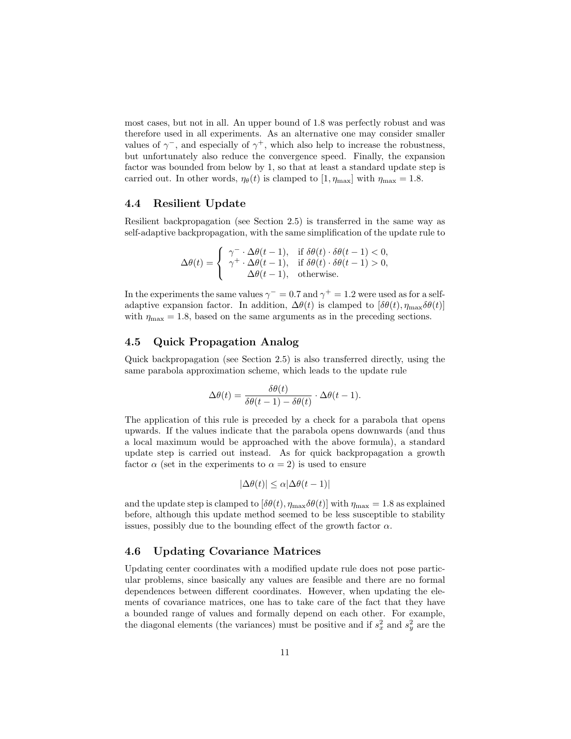most cases, but not in all. An upper bound of 1.8 was perfectly robust and was therefore used in all experiments. As an alternative one may consider smaller values of  $\gamma^-$ , and especially of  $\gamma^+$ , which also help to increase the robustness, but unfortunately also reduce the convergence speed. Finally, the expansion factor was bounded from below by 1, so that at least a standard update step is carried out. In other words,  $\eta_{\theta}(t)$  is clamped to  $[1, \eta_{\text{max}}]$  with  $\eta_{\text{max}} = 1.8$ .

#### 4.4 Resilient Update

Resilient backpropagation (see Section 2.5) is transferred in the same way as self-adaptive backpropagation, with the same simplification of the update rule to

$$
\Delta\theta(t) = \begin{cases}\n\gamma^- \cdot \Delta\theta(t-1), & \text{if } \delta\theta(t) \cdot \delta\theta(t-1) < 0, \\
\gamma^+ \cdot \Delta\theta(t-1), & \text{if } \delta\theta(t) \cdot \delta\theta(t-1) > 0, \\
\Delta\theta(t-1), & \text{otherwise.} \n\end{cases}
$$

In the experiments the same values  $\gamma^+ = 0.7$  and  $\gamma^+ = 1.2$  were used as for a selfadaptive expansion factor. In addition,  $\Delta\theta(t)$  is clamped to  $[\delta\theta(t), \eta_{\text{max}}\delta\theta(t)]$ with  $\eta_{\text{max}} = 1.8$ , based on the same arguments as in the preceding sections.

#### 4.5 Quick Propagation Analog

Quick backpropagation (see Section 2.5) is also transferred directly, using the same parabola approximation scheme, which leads to the update rule

$$
\Delta \theta(t) = \frac{\delta \theta(t)}{\delta \theta(t-1) - \delta \theta(t)} \cdot \Delta \theta(t-1).
$$

The application of this rule is preceded by a check for a parabola that opens upwards. If the values indicate that the parabola opens downwards (and thus a local maximum would be approached with the above formula), a standard update step is carried out instead. As for quick backpropagation a growth factor  $\alpha$  (set in the experiments to  $\alpha = 2$ ) is used to ensure

$$
|\Delta \theta(t)| \le \alpha |\Delta \theta(t-1)|
$$

and the update step is clamped to  $[\delta\theta(t), \eta_{\text{max}}\delta\theta(t)]$  with  $\eta_{\text{max}} = 1.8$  as explained before, although this update method seemed to be less susceptible to stability issues, possibly due to the bounding effect of the growth factor  $\alpha$ .

#### 4.6 Updating Covariance Matrices

Updating center coordinates with a modified update rule does not pose particular problems, since basically any values are feasible and there are no formal dependences between different coordinates. However, when updating the elements of covariance matrices, one has to take care of the fact that they have a bounded range of values and formally depend on each other. For example, the diagonal elements (the variances) must be positive and if  $s_x^2$  and  $s_y^2$  are the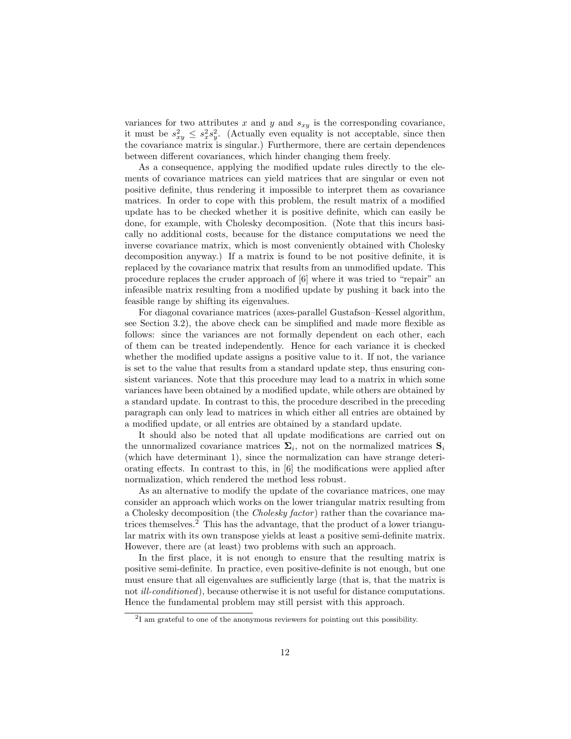variances for two attributes x and y and  $s_{xy}$  is the corresponding covariance, it must be  $s_{xy}^2 \leq s_x^2 s_y^2$ . (Actually even equality is not acceptable, since then the covariance matrix is singular.) Furthermore, there are certain dependences between different covariances, which hinder changing them freely.

As a consequence, applying the modified update rules directly to the elements of covariance matrices can yield matrices that are singular or even not positive definite, thus rendering it impossible to interpret them as covariance matrices. In order to cope with this problem, the result matrix of a modified update has to be checked whether it is positive definite, which can easily be done, for example, with Cholesky decomposition. (Note that this incurs basically no additional costs, because for the distance computations we need the inverse covariance matrix, which is most conveniently obtained with Cholesky decomposition anyway.) If a matrix is found to be not positive definite, it is replaced by the covariance matrix that results from an unmodified update. This procedure replaces the cruder approach of [6] where it was tried to "repair" an infeasible matrix resulting from a modified update by pushing it back into the feasible range by shifting its eigenvalues.

For diagonal covariance matrices (axes-parallel Gustafson–Kessel algorithm, see Section 3.2), the above check can be simplified and made more flexible as follows: since the variances are not formally dependent on each other, each of them can be treated independently. Hence for each variance it is checked whether the modified update assigns a positive value to it. If not, the variance is set to the value that results from a standard update step, thus ensuring consistent variances. Note that this procedure may lead to a matrix in which some variances have been obtained by a modified update, while others are obtained by a standard update. In contrast to this, the procedure described in the preceding paragraph can only lead to matrices in which either all entries are obtained by a modified update, or all entries are obtained by a standard update.

It should also be noted that all update modifications are carried out on the unnormalized covariance matrices  $\Sigma_i$ , not on the normalized matrices  $S_i$ (which have determinant 1), since the normalization can have strange deteriorating effects. In contrast to this, in [6] the modifications were applied after normalization, which rendered the method less robust.

As an alternative to modify the update of the covariance matrices, one may consider an approach which works on the lower triangular matrix resulting from a Cholesky decomposition (the *Cholesky factor*) rather than the covariance matrices themselves.<sup>2</sup> This has the advantage, that the product of a lower triangular matrix with its own transpose yields at least a positive semi-definite matrix. However, there are (at least) two problems with such an approach.

In the first place, it is not enough to ensure that the resulting matrix is positive semi-definite. In practice, even positive-definite is not enough, but one must ensure that all eigenvalues are sufficiently large (that is, that the matrix is not *ill-conditioned*), because otherwise it is not useful for distance computations. Hence the fundamental problem may still persist with this approach.

<sup>2</sup> I am grateful to one of the anonymous reviewers for pointing out this possibility.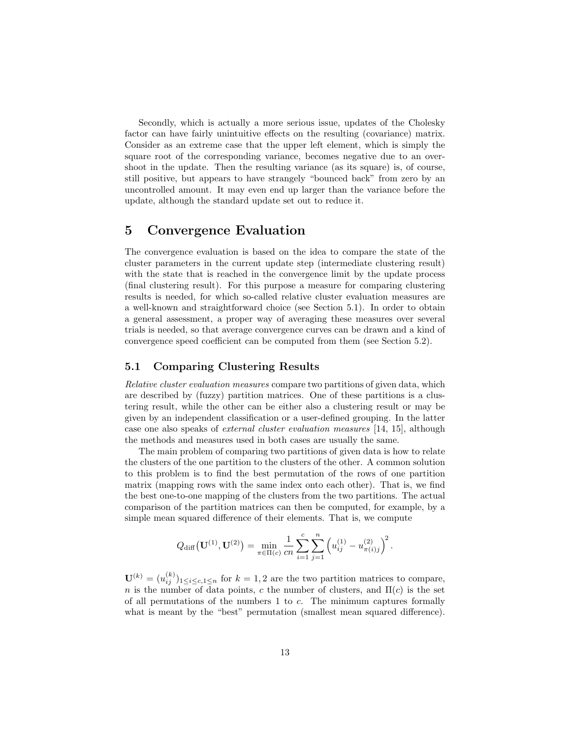Secondly, which is actually a more serious issue, updates of the Cholesky factor can have fairly unintuitive effects on the resulting (covariance) matrix. Consider as an extreme case that the upper left element, which is simply the square root of the corresponding variance, becomes negative due to an overshoot in the update. Then the resulting variance (as its square) is, of course, still positive, but appears to have strangely "bounced back" from zero by an uncontrolled amount. It may even end up larger than the variance before the update, although the standard update set out to reduce it.

## 5 Convergence Evaluation

The convergence evaluation is based on the idea to compare the state of the cluster parameters in the current update step (intermediate clustering result) with the state that is reached in the convergence limit by the update process (final clustering result). For this purpose a measure for comparing clustering results is needed, for which so-called relative cluster evaluation measures are a well-known and straightforward choice (see Section 5.1). In order to obtain a general assessment, a proper way of averaging these measures over several trials is needed, so that average convergence curves can be drawn and a kind of convergence speed coefficient can be computed from them (see Section 5.2).

#### 5.1 Comparing Clustering Results

Relative cluster evaluation measures compare two partitions of given data, which are described by (fuzzy) partition matrices. One of these partitions is a clustering result, while the other can be either also a clustering result or may be given by an independent classification or a user-defined grouping. In the latter case one also speaks of external cluster evaluation measures [14, 15], although the methods and measures used in both cases are usually the same.

The main problem of comparing two partitions of given data is how to relate the clusters of the one partition to the clusters of the other. A common solution to this problem is to find the best permutation of the rows of one partition matrix (mapping rows with the same index onto each other). That is, we find the best one-to-one mapping of the clusters from the two partitions. The actual comparison of the partition matrices can then be computed, for example, by a simple mean squared difference of their elements. That is, we compute

$$
Q_{\text{diff}}\left(\mathbf{U}^{(1)},\mathbf{U}^{(2)}\right) = \min_{\pi \in \Pi(c)} \frac{1}{cn} \sum_{i=1}^{c} \sum_{j=1}^{n} \left(u_{ij}^{(1)} - u_{\pi(i)j}^{(2)}\right)^2.
$$

 $\mathbf{U}^{(k)} = (u_{ij}^{(k)})_{1 \leq i \leq c, 1 \leq n}$  for  $k = 1, 2$  are the two partition matrices to compare, n is the number of data points, c the number of clusters, and  $\Pi(c)$  is the set of all permutations of the numbers 1 to c. The minimum captures formally what is meant by the "best" permutation (smallest mean squared difference).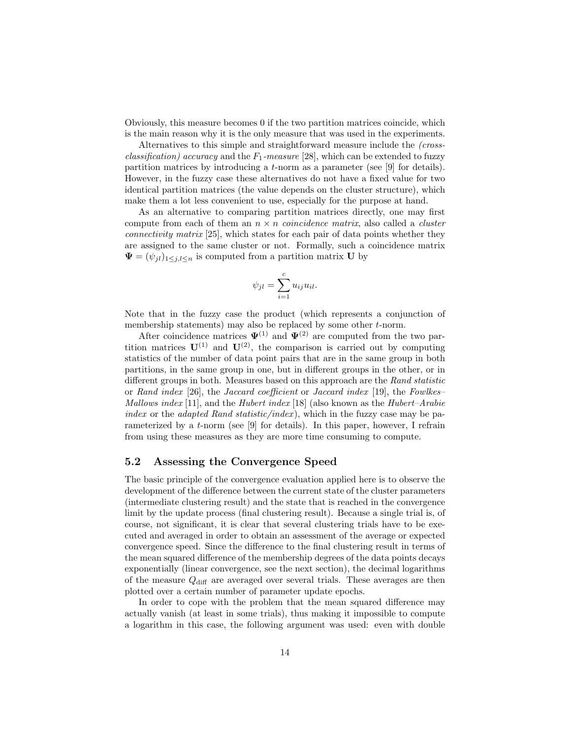Obviously, this measure becomes 0 if the two partition matrices coincide, which is the main reason why it is the only measure that was used in the experiments.

Alternatives to this simple and straightforward measure include the *(crossclassification)* accuracy and the  $F_1$ -measure [28], which can be extended to fuzzy partition matrices by introducing a  $t$ -norm as a parameter (see [9] for details). However, in the fuzzy case these alternatives do not have a fixed value for two identical partition matrices (the value depends on the cluster structure), which make them a lot less convenient to use, especially for the purpose at hand.

As an alternative to comparing partition matrices directly, one may first compute from each of them an  $n \times n$  coincidence matrix, also called a cluster *connectivity matrix* [25], which states for each pair of data points whether they are assigned to the same cluster or not. Formally, such a coincidence matrix  $\Psi = (\psi_{jl})_{1 \leq j,l \leq n}$  is computed from a partition matrix U by

$$
\psi_{jl} = \sum_{i=1}^{c} u_{ij} u_{il}.
$$

Note that in the fuzzy case the product (which represents a conjunction of membership statements) may also be replaced by some other *t*-norm.

After coincidence matrices  $\Psi^{(1)}$  and  $\Psi^{(2)}$  are computed from the two partition matrices  $\mathbf{U}^{(1)}$  and  $\mathbf{U}^{(2)}$ , the comparison is carried out by computing statistics of the number of data point pairs that are in the same group in both partitions, in the same group in one, but in different groups in the other, or in different groups in both. Measures based on this approach are the Rand statistic or Rand index [26], the Jaccard coefficient or Jaccard index [19], the Fowlkes– Mallows index [11], and the Hubert index [18] (also known as the Hubert–Arabie index or the *adapted Rand statistic/index*), which in the fuzzy case may be parameterized by a t-norm (see [9] for details). In this paper, however, I refrain from using these measures as they are more time consuming to compute.

#### 5.2 Assessing the Convergence Speed

The basic principle of the convergence evaluation applied here is to observe the development of the difference between the current state of the cluster parameters (intermediate clustering result) and the state that is reached in the convergence limit by the update process (final clustering result). Because a single trial is, of course, not significant, it is clear that several clustering trials have to be executed and averaged in order to obtain an assessment of the average or expected convergence speed. Since the difference to the final clustering result in terms of the mean squared difference of the membership degrees of the data points decays exponentially (linear convergence, see the next section), the decimal logarithms of the measure  $Q_{\text{diff}}$  are averaged over several trials. These averages are then plotted over a certain number of parameter update epochs.

In order to cope with the problem that the mean squared difference may actually vanish (at least in some trials), thus making it impossible to compute a logarithm in this case, the following argument was used: even with double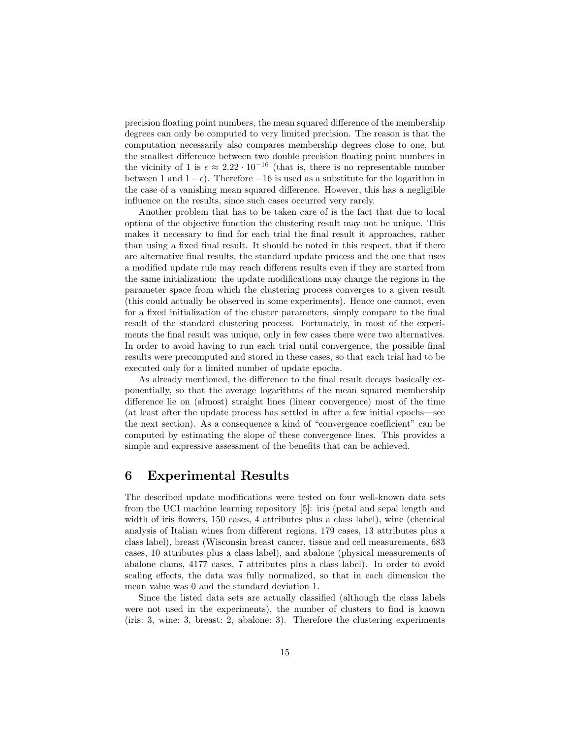precision floating point numbers, the mean squared difference of the membership degrees can only be computed to very limited precision. The reason is that the computation necessarily also compares membership degrees close to one, but the smallest difference between two double precision floating point numbers in the vicinity of 1 is  $\epsilon \approx 2.22 \cdot 10^{-16}$  (that is, there is no representable number between 1 and  $1-\epsilon$ ). Therefore −16 is used as a substitute for the logarithm in the case of a vanishing mean squared difference. However, this has a negligible influence on the results, since such cases occurred very rarely.

Another problem that has to be taken care of is the fact that due to local optima of the objective function the clustering result may not be unique. This makes it necessary to find for each trial the final result it approaches, rather than using a fixed final result. It should be noted in this respect, that if there are alternative final results, the standard update process and the one that uses a modified update rule may reach different results even if they are started from the same initialization: the update modifications may change the regions in the parameter space from which the clustering process converges to a given result (this could actually be observed in some experiments). Hence one cannot, even for a fixed initialization of the cluster parameters, simply compare to the final result of the standard clustering process. Fortunately, in most of the experiments the final result was unique, only in few cases there were two alternatives. In order to avoid having to run each trial until convergence, the possible final results were precomputed and stored in these cases, so that each trial had to be executed only for a limited number of update epochs.

As already mentioned, the difference to the final result decays basically exponentially, so that the average logarithms of the mean squared membership difference lie on (almost) straight lines (linear convergence) most of the time (at least after the update process has settled in after a few initial epochs—see the next section). As a consequence a kind of "convergence coefficient" can be computed by estimating the slope of these convergence lines. This provides a simple and expressive assessment of the benefits that can be achieved.

### 6 Experimental Results

The described update modifications were tested on four well-known data sets from the UCI machine learning repository [5]: iris (petal and sepal length and width of iris flowers, 150 cases, 4 attributes plus a class label), wine (chemical analysis of Italian wines from different regions, 179 cases, 13 attributes plus a class label), breast (Wisconsin breast cancer, tissue and cell measurements, 683 cases, 10 attributes plus a class label), and abalone (physical measurements of abalone clams, 4177 cases, 7 attributes plus a class label). In order to avoid scaling effects, the data was fully normalized, so that in each dimension the mean value was 0 and the standard deviation 1.

Since the listed data sets are actually classified (although the class labels were not used in the experiments), the number of clusters to find is known (iris: 3, wine: 3, breast: 2, abalone: 3). Therefore the clustering experiments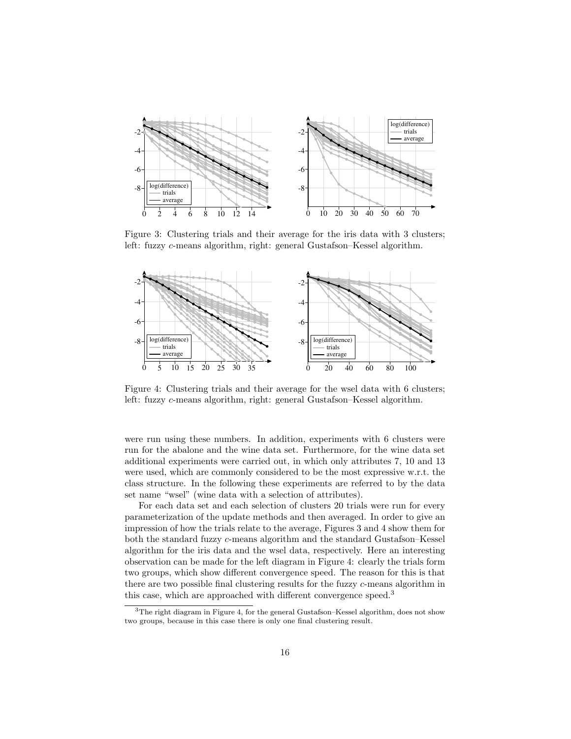

Figure 3: Clustering trials and their average for the iris data with 3 clusters; left: fuzzy c-means algorithm, right: general Gustafson–Kessel algorithm.



Figure 4: Clustering trials and their average for the wsel data with 6 clusters; left: fuzzy c-means algorithm, right: general Gustafson–Kessel algorithm.

were run using these numbers. In addition, experiments with 6 clusters were run for the abalone and the wine data set. Furthermore, for the wine data set additional experiments were carried out, in which only attributes 7, 10 and 13 were used, which are commonly considered to be the most expressive w.r.t. the class structure. In the following these experiments are referred to by the data set name "wsel" (wine data with a selection of attributes).

For each data set and each selection of clusters 20 trials were run for every parameterization of the update methods and then averaged. In order to give an impression of how the trials relate to the average, Figures 3 and 4 show them for both the standard fuzzy c-means algorithm and the standard Gustafson–Kessel algorithm for the iris data and the wsel data, respectively. Here an interesting observation can be made for the left diagram in Figure 4: clearly the trials form two groups, which show different convergence speed. The reason for this is that there are two possible final clustering results for the fuzzy c-means algorithm in this case, which are approached with different convergence speed.<sup>3</sup>

<sup>3</sup>The right diagram in Figure 4, for the general Gustafson–Kessel algorithm, does not show two groups, because in this case there is only one final clustering result.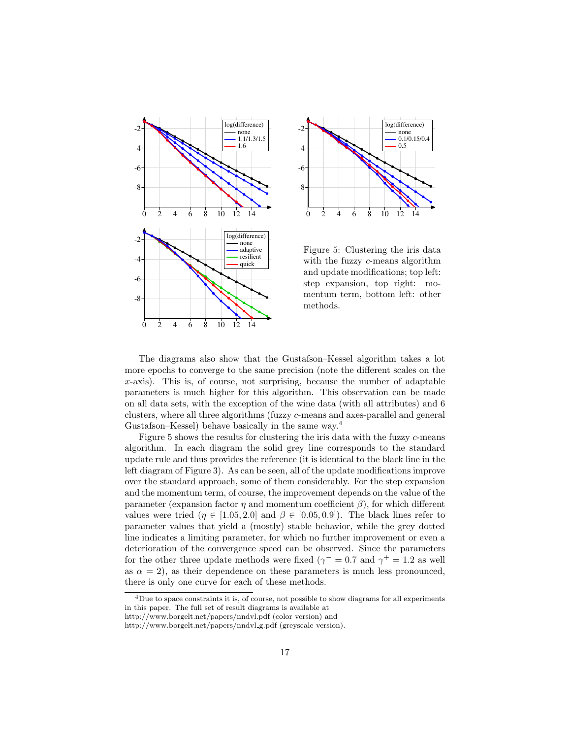



Figure 5: Clustering the iris data with the fuzzy *c*-means algorithm and update modifications; top left: step expansion, top right: momentum term, bottom left: other methods.

The diagrams also show that the Gustafson–Kessel algorithm takes a lot more epochs to converge to the same precision (note the different scales on the  $x$ -axis). This is, of course, not surprising, because the number of adaptable parameters is much higher for this algorithm. This observation can be made on all data sets, with the exception of the wine data (with all attributes) and 6 clusters, where all three algorithms (fuzzy c-means and axes-parallel and general Gustafson–Kessel) behave basically in the same way.<sup>4</sup>

Figure 5 shows the results for clustering the iris data with the fuzzy c-means algorithm. In each diagram the solid grey line corresponds to the standard update rule and thus provides the reference (it is identical to the black line in the left diagram of Figure 3). As can be seen, all of the update modifications improve over the standard approach, some of them considerably. For the step expansion and the momentum term, of course, the improvement depends on the value of the parameter (expansion factor  $\eta$  and momentum coefficient  $\beta$ ), for which different values were tried  $(\eta \in [1.05, 2.0]$  and  $\beta \in [0.05, 0.9]$ . The black lines refer to parameter values that yield a (mostly) stable behavior, while the grey dotted line indicates a limiting parameter, for which no further improvement or even a deterioration of the convergence speed can be observed. Since the parameters for the other three update methods were fixed ( $\gamma$ <sup>-</sup> = 0.7 and  $\gamma$ <sup>+</sup> = 1.2 as well as  $\alpha = 2$ , as their dependence on these parameters is much less pronounced, there is only one curve for each of these methods.

<sup>4</sup>Due to space constraints it is, of course, not possible to show diagrams for all experiments in this paper. The full set of result diagrams is available at

http://www.borgelt.net/papers/nndvl.pdf (color version) and

http://www.borgelt.net/papers/nndvl g.pdf (greyscale version).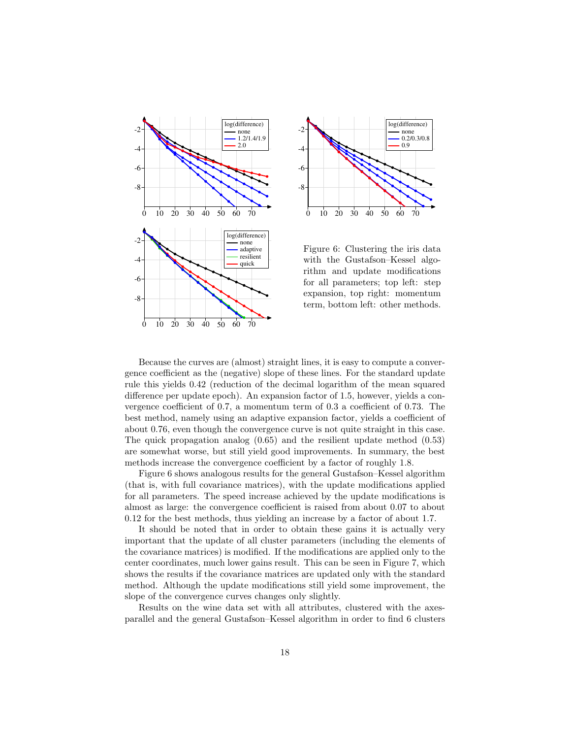



Figure 6: Clustering the iris data with the Gustafson–Kessel algorithm and update modifications for all parameters; top left: step expansion, top right: momentum term, bottom left: other methods.

Because the curves are (almost) straight lines, it is easy to compute a convergence coefficient as the (negative) slope of these lines. For the standard update rule this yields 0.42 (reduction of the decimal logarithm of the mean squared difference per update epoch). An expansion factor of 1.5, however, yields a convergence coefficient of 0.7, a momentum term of 0.3 a coefficient of 0.73. The best method, namely using an adaptive expansion factor, yields a coefficient of about 0.76, even though the convergence curve is not quite straight in this case. The quick propagation analog (0.65) and the resilient update method (0.53) are somewhat worse, but still yield good improvements. In summary, the best methods increase the convergence coefficient by a factor of roughly 1.8.

Figure 6 shows analogous results for the general Gustafson–Kessel algorithm (that is, with full covariance matrices), with the update modifications applied for all parameters. The speed increase achieved by the update modifications is almost as large: the convergence coefficient is raised from about 0.07 to about 0.12 for the best methods, thus yielding an increase by a factor of about 1.7.

It should be noted that in order to obtain these gains it is actually very important that the update of all cluster parameters (including the elements of the covariance matrices) is modified. If the modifications are applied only to the center coordinates, much lower gains result. This can be seen in Figure 7, which shows the results if the covariance matrices are updated only with the standard method. Although the update modifications still yield some improvement, the slope of the convergence curves changes only slightly.

Results on the wine data set with all attributes, clustered with the axesparallel and the general Gustafson–Kessel algorithm in order to find 6 clusters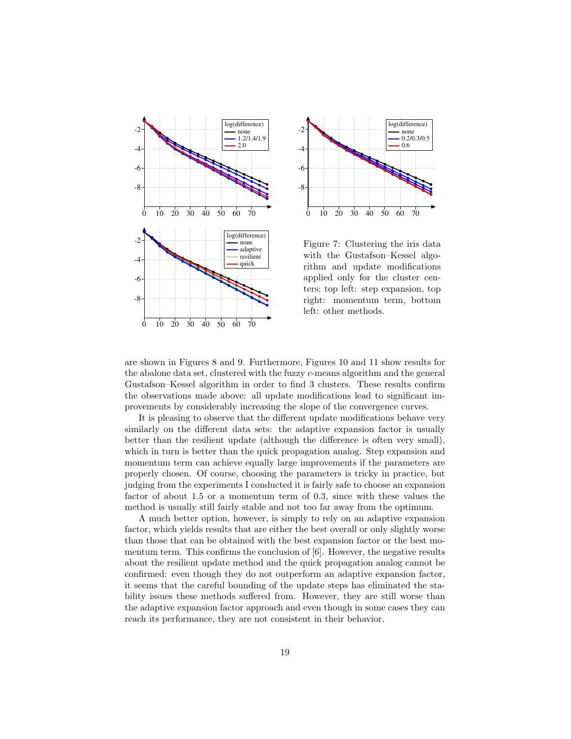



Figure 7: Clustering the iris data with the Gustafson–Kessel algorithm and update modifications applied only for the cluster centers; top left: step expansion, top right: momentum term, bottom left: other methods.

are shown in Figures 8 and 9. Furthermore, Figures 10 and 11 show results for the abalone data set, clustered with the fuzzy c-means algorithm and the general Gustafson–Kessel algorithm in order to find 3 clusters. These results confirm the observations made above: all update modifications lead to significant improvements by considerably increasing the slope of the convergence curves.

It is pleasing to observe that the different update modifications behave very similarly on the different data sets: the adaptive expansion factor is usually better than the resilient update (although the difference is often very small), which in turn is better than the quick propagation analog. Step expansion and momentum term can achieve equally large improvements if the parameters are properly chosen. Of course, choosing the parameters is tricky in practice, but judging from the experiments I conducted it is fairly safe to choose an expansion factor of about 1.5 or a momentum term of 0.3, since with these values the method is usually still fairly stable and not too far away from the optimum.

A much better option, however, is simply to rely on an adaptive expansion factor, which yields results that are either the best overall or only slightly worse than those that can be obtained with the best expansion factor or the best momentum term. This confirms the conclusion of [6]. However, the negative results about the resilient update method and the quick propagation analog cannot be confirmed: even though they do not outperform an adaptive expansion factor, it seems that the careful bounding of the update steps has eliminated the stability issues these methods suffered from. However, they are still worse than the adaptive expansion factor approach and even though in some cases they can reach its performance, they are not consistent in their behavior.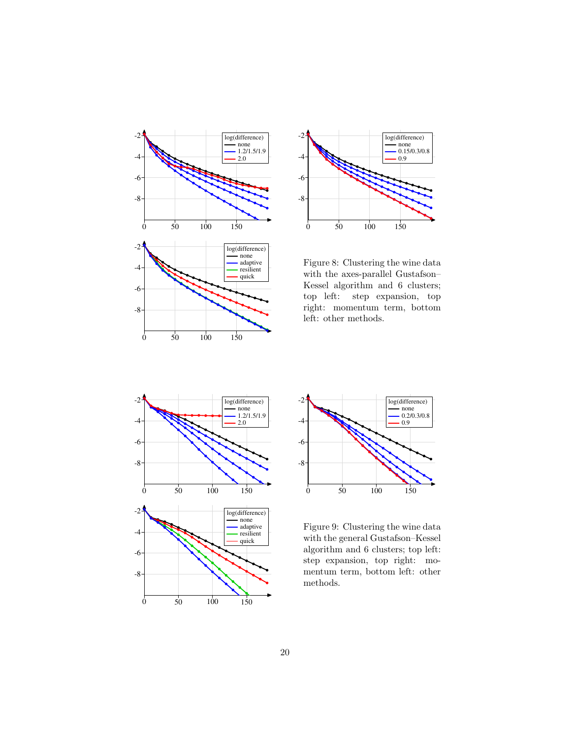



Figure 8: Clustering the wine data with the axes-parallel Gustafson– Kessel algorithm and 6 clusters; top left: step expansion, top right: momentum term, bottom left: other methods.





Figure 9: Clustering the wine data with the general Gustafson–Kessel algorithm and 6 clusters; top left: step expansion, top right: momentum term, bottom left: other methods.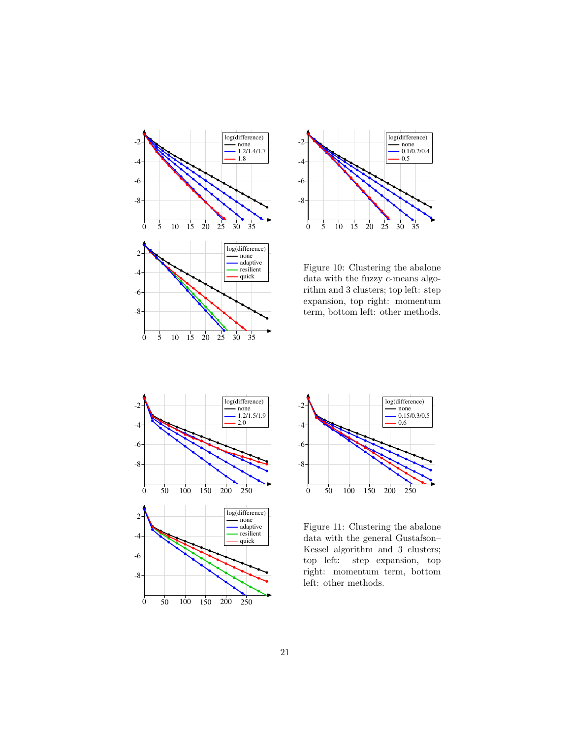



Figure 10: Clustering the abalone data with the fuzzy c-means algorithm and 3 clusters; top left: step expansion, top right: momentum term, bottom left: other methods.





Figure 11: Clustering the abalone data with the general Gustafson– Kessel algorithm and 3 clusters; top left: step expansion, top right: momentum term, bottom left: other methods.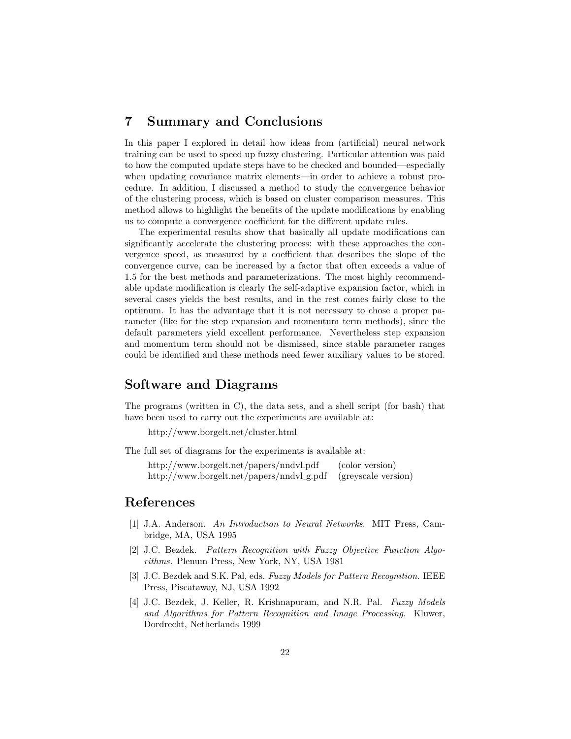### 7 Summary and Conclusions

In this paper I explored in detail how ideas from (artificial) neural network training can be used to speed up fuzzy clustering. Particular attention was paid to how the computed update steps have to be checked and bounded—especially when updating covariance matrix elements—in order to achieve a robust procedure. In addition, I discussed a method to study the convergence behavior of the clustering process, which is based on cluster comparison measures. This method allows to highlight the benefits of the update modifications by enabling us to compute a convergence coefficient for the different update rules.

The experimental results show that basically all update modifications can significantly accelerate the clustering process: with these approaches the convergence speed, as measured by a coefficient that describes the slope of the convergence curve, can be increased by a factor that often exceeds a value of 1.5 for the best methods and parameterizations. The most highly recommendable update modification is clearly the self-adaptive expansion factor, which in several cases yields the best results, and in the rest comes fairly close to the optimum. It has the advantage that it is not necessary to chose a proper parameter (like for the step expansion and momentum term methods), since the default parameters yield excellent performance. Nevertheless step expansion and momentum term should not be dismissed, since stable parameter ranges could be identified and these methods need fewer auxiliary values to be stored.

### Software and Diagrams

The programs (written in C), the data sets, and a shell script (for bash) that have been used to carry out the experiments are available at:

http://www.borgelt.net/cluster.html

The full set of diagrams for the experiments is available at:

http://www.borgelt.net/papers/nndvl.pdf (color version) http://www.borgelt.net/papers/nndvl g.pdf (greyscale version)

### References

- [1] J.A. Anderson. An Introduction to Neural Networks. MIT Press, Cambridge, MA, USA 1995
- [2] J.C. Bezdek. Pattern Recognition with Fuzzy Objective Function Algorithms. Plenum Press, New York, NY, USA 1981
- [3] J.C. Bezdek and S.K. Pal, eds. Fuzzy Models for Pattern Recognition. IEEE Press, Piscataway, NJ, USA 1992
- [4] J.C. Bezdek, J. Keller, R. Krishnapuram, and N.R. Pal. Fuzzy Models and Algorithms for Pattern Recognition and Image Processing. Kluwer, Dordrecht, Netherlands 1999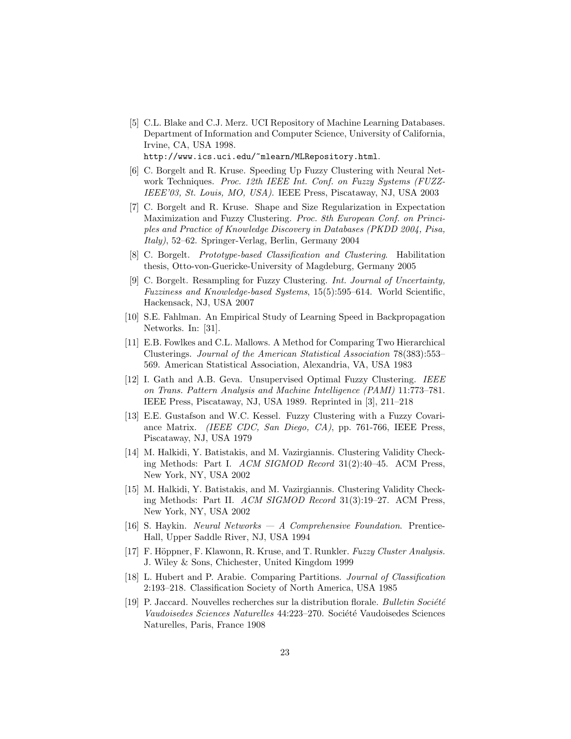[5] C.L. Blake and C.J. Merz. UCI Repository of Machine Learning Databases. Department of Information and Computer Science, University of California, Irvine, CA, USA 1998.

http://www.ics.uci.edu/~mlearn/MLRepository.html.

- [6] C. Borgelt and R. Kruse. Speeding Up Fuzzy Clustering with Neural Network Techniques. Proc. 12th IEEE Int. Conf. on Fuzzy Systems (FUZZ-IEEE'03, St. Louis, MO, USA). IEEE Press, Piscataway, NJ, USA 2003
- [7] C. Borgelt and R. Kruse. Shape and Size Regularization in Expectation Maximization and Fuzzy Clustering. Proc. 8th European Conf. on Principles and Practice of Knowledge Discovery in Databases (PKDD 2004, Pisa, Italy), 52–62. Springer-Verlag, Berlin, Germany 2004
- [8] C. Borgelt. Prototype-based Classification and Clustering. Habilitation thesis, Otto-von-Guericke-University of Magdeburg, Germany 2005
- [9] C. Borgelt. Resampling for Fuzzy Clustering. Int. Journal of Uncertainty, Fuzziness and Knowledge-based Systems, 15(5):595–614. World Scientific, Hackensack, NJ, USA 2007
- [10] S.E. Fahlman. An Empirical Study of Learning Speed in Backpropagation Networks. In: [31].
- [11] E.B. Fowlkes and C.L. Mallows. A Method for Comparing Two Hierarchical Clusterings. Journal of the American Statistical Association 78(383):553– 569. American Statistical Association, Alexandria, VA, USA 1983
- [12] I. Gath and A.B. Geva. Unsupervised Optimal Fuzzy Clustering. IEEE on Trans. Pattern Analysis and Machine Intelligence (PAMI) 11:773–781. IEEE Press, Piscataway, NJ, USA 1989. Reprinted in [3], 211–218
- [13] E.E. Gustafson and W.C. Kessel. Fuzzy Clustering with a Fuzzy Covariance Matrix. (IEEE CDC, San Diego, CA), pp. 761-766, IEEE Press, Piscataway, NJ, USA 1979
- [14] M. Halkidi, Y. Batistakis, and M. Vazirgiannis. Clustering Validity Checking Methods: Part I. ACM SIGMOD Record 31(2):40–45. ACM Press, New York, NY, USA 2002
- [15] M. Halkidi, Y. Batistakis, and M. Vazirgiannis. Clustering Validity Checking Methods: Part II. ACM SIGMOD Record 31(3):19–27. ACM Press, New York, NY, USA 2002
- [16] S. Haykin. *Neural Networks*  $A$  *Comprehensive Foundation.* Prentice-Hall, Upper Saddle River, NJ, USA 1994
- [17] F. Höppner, F. Klawonn, R. Kruse, and T. Runkler. *Fuzzy Cluster Analysis.* J. Wiley & Sons, Chichester, United Kingdom 1999
- [18] L. Hubert and P. Arabie. Comparing Partitions. Journal of Classification 2:193–218. Classification Society of North America, USA 1985
- [19] P. Jaccard. Nouvelles recherches sur la distribution florale. Bulletin Société Vaudoisedes Sciences Naturelles 44:223-270. Société Vaudoisedes Sciences Naturelles, Paris, France 1908